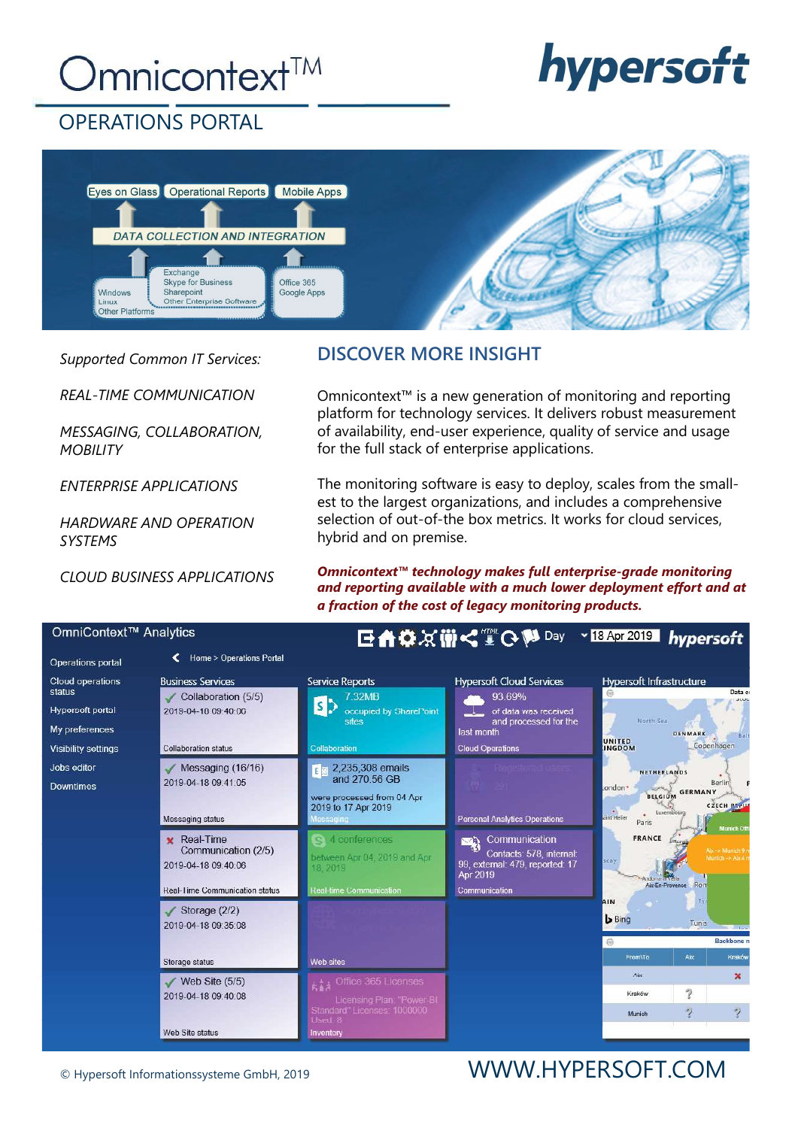# Omnicontext<sup>™</sup>



### OPERATIONS PORTAL



Supported Common IT Services:

REAL-TIME COMMUNICATION

MESSAGING, COLLABORATION, **MOBILITY** 

ENTERPRISE APPLICATIONS

HARDWARE AND OPERATION SYSTEMS

CLOUD BUSINESS APPLICATIONS

### DISCOVER MORE INSIGHT

Omnicontext™ is a new generation of monitoring and reporting platform for technology services. It delivers robust measurement of availability, end-user experience, quality of service and usage for the full stack of enterprise applications.

The monitoring software is easy to deploy, scales from the smallest to the largest organizations, and includes a comprehensive selection of out-of-the box metrics. It works for cloud services, hybrid and on premise.

Omnicontext™ technology makes full enterprise-grade monitoring and reporting available with a much lower deployment effort and at a fraction of the cost of legacy monitoring products.

| UITIINUURKU TARARTUUS                                                                                 |                                                                                                                    |                                                                                                                        | <b>巨豊春災働く ■ G MapaA</b>                                                                                                             | $\sim$ 18 Apr 2019                                                                                          | hypersoft                                               |  |
|-------------------------------------------------------------------------------------------------------|--------------------------------------------------------------------------------------------------------------------|------------------------------------------------------------------------------------------------------------------------|-------------------------------------------------------------------------------------------------------------------------------------|-------------------------------------------------------------------------------------------------------------|---------------------------------------------------------|--|
| <b>Operations portal</b>                                                                              | <b>Home &gt; Operations Portal</b>                                                                                 |                                                                                                                        |                                                                                                                                     |                                                                                                             |                                                         |  |
| Cloud operations<br>status<br><b>Hypersoft portal</b><br>My preferences<br><b>Visibility settings</b> | <b>Business Services</b><br>$\checkmark$ Collaboration (5/5)<br>2019-04-18 09:40:06<br><b>Collaboration status</b> | <b>Service Reports</b><br><b>7.32MB</b><br>$\mathsf{S}$<br>occupied by SharePoint<br>sites<br>Collaboration            | <b>Hypersoft Cloud Services</b><br>93.69%<br>of data was received<br>and processed for the<br>last month<br><b>Cloud Operations</b> | <b>Hypersoft Infrastructure</b><br>狗<br>North Sea<br>UNITED<br><b>INGDOM</b>                                | Data co<br>atue<br><b>DENMARK</b><br>Balt<br>Copenhagen |  |
| Jobs editor<br><b>Downtimes</b>                                                                       | $M$ essaging (16/16)<br>2019-04-18 09:41:05<br><b>Messaging status</b>                                             | $E \approx 2,235,308$ emails<br>and 270.56 GB<br>were processed from 04 Apr<br>2019 to 17 Apr 2019<br><b>Messaging</b> | <b>Personal Analytics Operations</b>                                                                                                | <b>NETHERLANDS</b><br>.ondon*<br><b>BELGIUM</b><br>e<br>Jaint Helier<br>Luxembour<br>Paris                  | Berlin<br><b>GERMANY</b><br><b>CZECH REPUS</b>          |  |
|                                                                                                       | <b>x</b> Real-Time<br>Communication (2/5)<br>2019-04-18 09:40:06<br><b>Real-Time Communication status</b>          | 4 conferences<br>between Apr 04, 2019 and Apr<br>18.2019<br><b>Real-time Communication</b>                             | Communication<br>딱<br>Contacts: 578, internal:<br>99, external: 479, reported: 17<br>Apr 2019<br>Communication                      | <b>Munich Offi</b><br><b>FRANCE</b><br>Aix-> Munich 9 m<br>Munich -> Aix 4 n<br>scay<br>Aix-En-Provence Rom |                                                         |  |
|                                                                                                       | $\checkmark$ Storage (2/2)<br>2019-04-18 09:35:08                                                                  |                                                                                                                        |                                                                                                                                     | AIN<br><b>b</b> Bing<br>回                                                                                   | Tý i<br>Tunis<br><b>Contract</b><br><b>Backbone</b> n   |  |
|                                                                                                       | Storage status                                                                                                     | Web sites                                                                                                              |                                                                                                                                     | From\To<br>Aix                                                                                              | Aix<br>Kraków                                           |  |
|                                                                                                       | Web Site $(5/5)$<br>2019-04-18 09:40:08                                                                            | A 4 Office 365 Licenses<br>Licensing Plan: "Power-BI<br>Standard" Licenses: 1000000                                    |                                                                                                                                     | Kraków<br>Munich                                                                                            | ×<br>?<br>$\overline{\mathbf{?}}$<br>$\gamma$           |  |
|                                                                                                       | Web Site status                                                                                                    | Used: 8<br>Inventory                                                                                                   |                                                                                                                                     |                                                                                                             |                                                         |  |

## © Hypersoft Informationssysteme GmbH, 2019 WWW.HYPERSOFT.COM